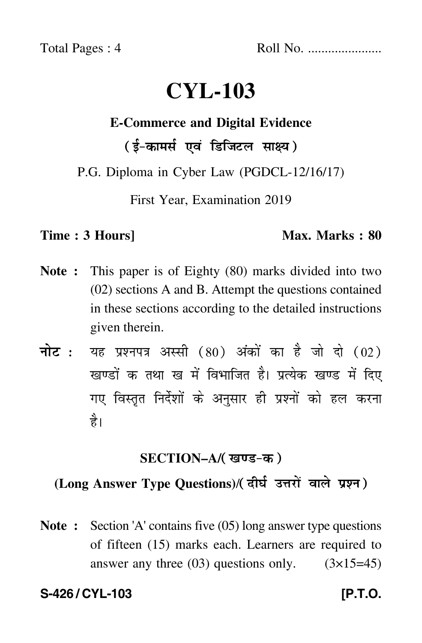Total Pages : 4 Roll No. ......................

# **CYL-103**

# **E-Commerce and Digital Evidence**

( ई-कामर्स एवं डिजिटल साक्ष्य)

P.G. Diploma in Cyber Law (PGDCL-12/16/17)

First Year, Examination 2019

**Time : 3 Hours]** Max. Marks : 80

- **Note :** This paper is of Eighty (80) marks divided into two (02) sections A and B. Attempt the questions contained in these sections according to the detailed instructions given therein.
- नोट : यह प्रश्नपत्र अस्सी (80) अंकों का है जो दो (02) खण्डों क तथा ख में विभाजित है। प्रत्येक खण्ड में दिए गए विस्तृत निर्देशों के अनुसार ही प्रश्नों को हल करन<mark>ा</mark> है।

### **SECTION–A/**

# (Long Answer Type Questions)/(दीर्घ उत्तरों वाले प्रश्न)

**Note :** Section 'A' contains five (05) long answer type questions of fifteen (15) marks each. Learners are required to answer any three  $(03)$  questions only.  $(3\times15=45)$ 

# **S-426 / CYL-103 [P.T.O.**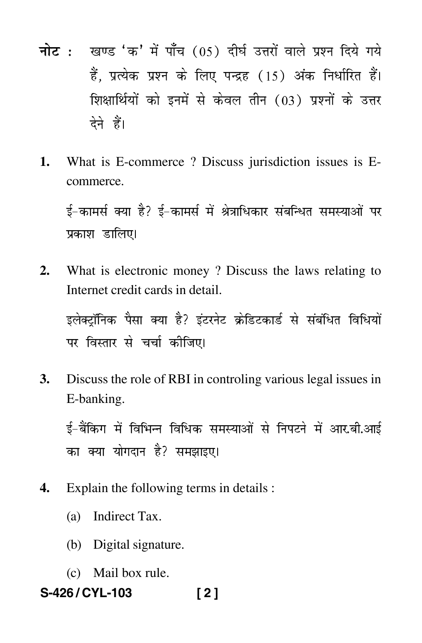- नोट : खण्ड 'क' में पाँच (05) दीर्घ उत्तरों वाले प्रश्न दिये गये हैं. प्रत्येक प्रश्न के लिए पन्द्रह (15) अंक निर्धारित हैं। शिक्षार्थियों को इनमें से केवल तीन (03) प्रश्नों के उत्तर देने हैं।
- $1<sub>1</sub>$ What is E-commerce? Discuss jurisdiction issues is Ecommerce.

ई-कामर्स क्या है? ई-कामर्स में श्रेत्राधिकार संबन्धित समस्याओं पर प्रकाश डालिए।

What is electronic money? Discuss the laws relating to  $2.$ Internet credit cards in detail.

इलेक्टॉनिक पैसा क्या है? इंटरनेट क्रेडिटकार्ड से संबंधित विधियों पर विस्तार से चर्चा कीजिए।

**3.** Discuss the role of RBI in controling various legal issues in E-banking.

ई-बैंकिग में विभिन्न विधिक समस्याओं से निपटने में आर.बी.आई का क्या योगदान है? समझाइए।

- Explain the following terms in details : 4.
	- (a) Indirect Tax.
	- (b) Digital signature.
	- (c) Mail box rule.
- S-426/CYL-103  $[2]$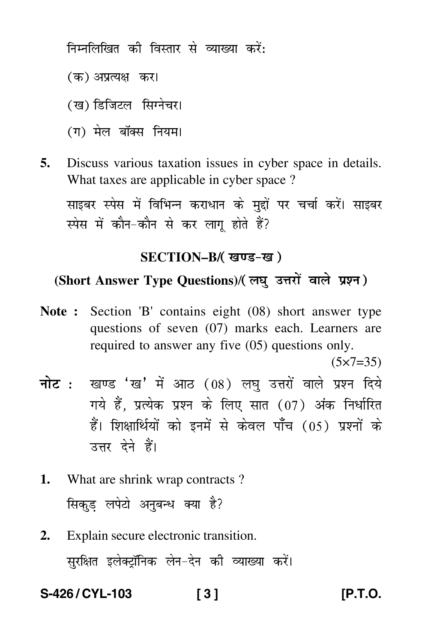निम्नलिखित की विस्तार से व्याख्या करें:

- (क) अप्रत्यक्ष कर<mark>।</mark>
- (ख) डिजिटल सिग्नेचर।
- (ग) मेल बॉक्स नियम।
- **5.** Discuss various taxation issues in cyber space in details. What taxes are applicable in cyber space ?

साइबर स्पेस में विभिन्न कराधान के मद्दों पर चर्चा करें। साइबर स्पेस में कौन-कौन से कर लाग होते हैं?

#### **SECTION–B/**

# (Short Answer Type Questions)/( लघु उत्तरों वाले प्रश्न)

**Note :** Section 'B' contains eight (08) short answer type questions of seven (07) marks each. Learners are required to answer any five (05) questions only.

 $(5 \times 7 = 35)$ 

- <mark>नोट</mark> : खण्ड 'ख' में आठ (08) लघु उत्तरों वाले प्रश्न दिये गये हैं, प्रत्येक प्रश्न के लिए सात (07) अंक निर्धारित हैं। शिक्षार्थियों को इनमें से केवल पाँच (05) प्रश्नों के उत्तर देने हैं।
- **1.** What are shrink wrap contracts ? सिकुड़ लपेटो अनुबन्ध क्या है?
- **2.** Explain secure electronic transition. सुरक्षित इलेक्ट्रॉनिक लेन–देन की व्याख्या करें।

**S-426 / CYL-103 [ 3 ] [P.T.O.**